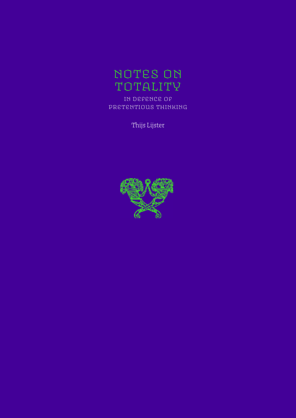

in defence of pretentious thinking

Thijs Lijster

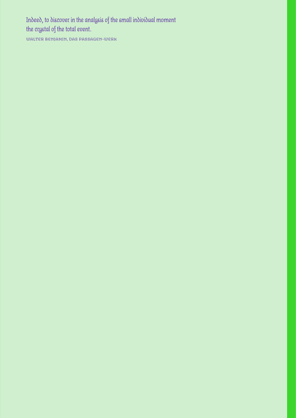Indeed, to discover in the analysis of the small individual moment the crystal of the total event.

WALTER BENJAMIN, DAS PASSAGEN-WERK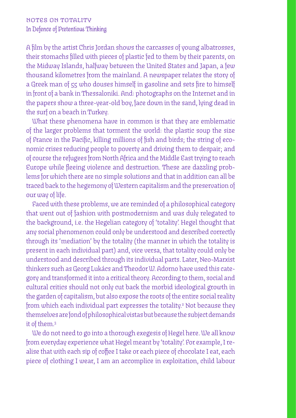A film by the artist Chris Jordan shows the carcasses of young albatrosses, their stomachs filled with pieces of plastic fed to them by their parents, on the Midway Islands, halfway between the United States and Japan, a few thousand kilometres from the mainland. A newspaper relates the story of a Greek man of 55 who douses himself in gasoline and sets fire to himself in front of a bank in Thessaloniki. And: photographs on the Internet and in the papers show a three-year-old boy, face down in the sand, lying dead in the surf on a beach in Turkey.

What these phenomena have in common is that they are emblematic of the larger problems that torment the world: the plastic soup the size of France in the Pacific, killing millions of fish and birds; the string of economic crises reducing people to poverty and driving them to despair; and of course the refugees from North Africa and the Middle East trying to reach Europe while fleeing violence and destruction. These are dazzling problems for which there are no simple solutions and that in addition can all be traced back to the hegemony of Western capitalism and the preservation of our way of life.

Faced with these problems, we are reminded of a philosophical category that went out of fashion with postmodernism and was duly relegated to the background, i.e. the Hegelian category of 'totality'. Hegel thought that any social phenomenon could only be understood and described correctly through its 'mediation' by the totality (the manner in which the totality is present in each individual part) and, vice versa, that totality could only be understood and described through its individual parts. Later, Neo-Marxist thinkers such as Georg Lukács and Theodor W. Adorno have used this category and transformed it into a critical theory. According to them, social and cultural critics should not only cut back the morbid ideological growth in the garden of capitalism, but also expose the roots of the entire social reality from which each individual part expresses the totality.<sup>2</sup> Not because they themselves are fond of philosophical vistas but because the subject demands it of them.3

We do not need to go into a thorough exegesis of Hegel here. We all know from everyday experience what Hegel meant by 'totality'. For example, I realise that with each sip of coffee I take or each piece of chocolate I eat, each piece of clothing I wear, I am an accomplice in exploitation, child labour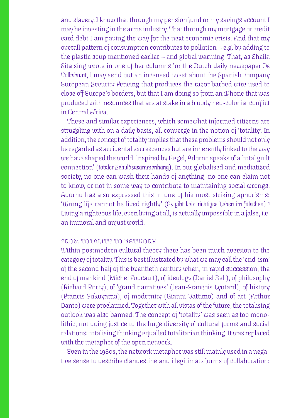and slavery. I know that through my pension fund or my savings account I may be investing in the arms industry. That through my mortgage or credit card debt I am paving the way for the next economic crisis. And that my overall pattern of consumption contributes to pollution — e.g. by adding to the plastic soup mentioned earlier — and global warming. That, as Sheila Sitalsing wrote in one of her columns for the Dutch daily newspaper *De Volkskrant*, I may send out an incensed tweet about the Spanish company European Security Fencing that produces the razor barbed wire used to close off Europe's borders, but that I am doing so from an iPhone that was produced with resources that are at stake in a bloody neo-colonial conflict in Central Africa.

These and similar experiences, which somewhat informed citizens are struggling with on a daily basis, all converge in the notion of 'totality'. In addition, the concept of totality implies that these problems should not only be regarded as accidental excrescences but are inherently linked to the way we have shaped the world. Inspired by Hegel, Adorno speaks of a 'total guilt connection' *(totaler Schuldzusammenhang)*. In our globalised and mediatized society, no one can wash their hands of anything; no one can claim not to know, or not in some way to contribute to maintaining social wrongs. Adorno has also expressed this in one of his most striking aphorisms: 'Wrong life cannot be lived rightly' *(Es gibt kein richtiges Leben im falschen)*. 4 Living a righteous life, even living at all, is actually impossible in a false, i.e. an immoral and unjust world.

### from totality to network

Within postmodern cultural theory there has been much aversion to the category of totality. This is best illustrated by what we may call the 'end-ism' of the second half of the twentieth century when, in rapid succession, the end of mankind (Michel Foucault), of ideology (Daniel Bell), of philosophy (Richard Rorty), of 'grand narratives' (Jean-François Lyotard), of history (Francis Fukuyama), of modernity (Gianni Vattimo) and of art (Arthur Danto) were proclaimed. Together with all vistas of the future, the totalising outlook was also banned. The concept of 'totality' was seen as too monolithic, not doing justice to the huge diversity of cultural forms and social relations: totalising thinking equalled totalitarian thinking. It was replaced with the metaphor of the open network.

Even in the 1980s, the network metaphor was still mainly used in a negative sense to describe clandestine and illegitimate forms of collaboration: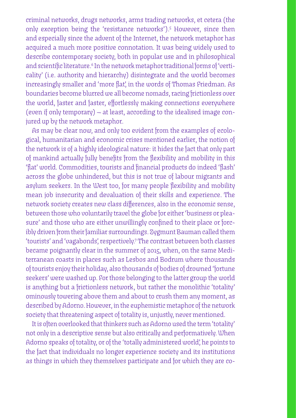criminal networks, drugs networks, arms trading networks, et cetera (the only exception being the 'resistance networks').5 However, since then and especially since the advent of the Internet, the network metaphor has acquired a much more positive connotation. It was being widely used to describe contemporary society, both in popular use and in philosophical and scientific literature.6 In the network metaphor traditional forms of 'verticality' (i.e. authority and hierarchy) disintegrate and the world becomes increasingly smaller and 'more flat', in the words of Thomas Friedman. As boundaries become blurred we all become nomads, racing frictionless over the world, faster and faster, effortlessly making connections everywhere (even if only temporary) — at least, according to the idealised image conjured up by the network metaphor.

As may be clear now, and only too evident from the examples of ecological, humanitarian and economic crises mentioned earlier, the notion of the network is of a highly ideological nature: it hides the fact that only part of mankind actually fully benefits from the flexibility and mobility in this 'flat' world. Commodities, tourists and financial products do indeed 'flash' across the globe unhindered, but this is not true of labour migrants and asylum seekers. In the West too, for many people flexibility and mobility mean job insecurity and devaluation of their skills and experience. The network society creates new class differences, also in the economic sense, between those who voluntarily travel the globe for either 'business or pleasure' and those who are either unwillingly confined to their place or forcibly driven from their familiar surroundings. Zygmunt Bauman called them 'tourists' and 'vagabonds', respectively.7 The contrast between both classes became poignantly clear in the summer of 2015, when, on the same Mediterranean coasts in places such as Lesbos and Bodrum where thousands of tourists enjoy their holiday, also thousands of bodies of drowned 'fortune seekers' were washed up. For those belonging to the latter group the world is anything but a frictionless network, but rather the monolithic 'totality' ominously towering above them and about to crush them any moment, as described by Adorno. However, in the euphemistic metaphor of the network society that threatening aspect of totality is, unjustly, never mentioned.

It is often overlooked that thinkers such as Adorno used the term 'totality' not only in a descriptive sense but also critically and performatively. When Adorno speaks of totality, or of the 'totally administered world', he points to the fact that individuals no longer experience society and its institutions as things in which they themselves participate and for which they are co-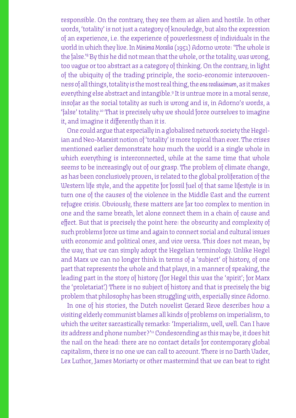responsible. On the contrary, they see them as alien and hostile. In other words, 'totality' is not just a category of knowledge, but also the expression of an experience, i.e. the experience of powerlessness of individuals in the world in which they live. In *Minima Moralia* (1951) Adorno wrote: 'The whole is the false.'8 By this he did not mean that the whole, or the totality, was wrong, too vague or too abstract as a category of thinking. On the contrary, in light of the ubiquity of the trading principle, the socio-economic interwovenness of all things, totality is the most real thing, the *ens realissimum*, as it makes everything else abstract and intangible.9 It is untrue more in a moral sense, insofar as the social totality as such is wrong and is, in Adorno's words, a 'false' totality.10 That is precisely why we should force ourselves to imagine it, and imagine it differently than it is.

One could argue that especially in a globalised network society the Hegelian and Neo-Marxist notion of 'totality' is more topical than ever. The crises mentioned earlier demonstrate how much the world is a single whole in which everything is interconnected, while at the same time that whole seems to be increasingly out of our grasp. The problem of climate change, as has been conclusively proven, is related to the global proliferation of the Western life style, and the appetite for fossil fuel of that same lifestyle is in turn one of the causes of the violence in the Middle East and the current refugee crisis. Obviously, these matters are far too complex to mention in one and the same breath, let alone connect them in a chain of cause and effect. But that is precisely the point here: the obscurity and complexity of such problems force us time and again to connect social and cultural issues with economic and political ones, and vice versa. This does not mean, by the way, that we can simply adopt the Hegelian terminology. Unlike Hegel and Marx we can no longer think in terms of a 'subject' of history, of one part that represents the whole and that plays, in a manner of speaking, the leading part in the story of history (for Hegel this was the 'spirit'; for Marx the 'proletariat'.) There is no subject of history and that is precisely the big problem that philosophy has been struggling with, especially since Adorno.

In one of his stories, the Dutch novelist Gerard Reve describes how a visiting elderly communist blames all kinds of problems on imperialism, to which the writer sarcastically remarks: 'Imperialism, well, well. Can I have its address and phone number?'" Condescending as this may be, it does hit the nail on the head: there are no contact details for contemporary global capitalism, there is no one we can call to account. There is no Darth Vader, Lex Luthor, James Moriarty or other mastermind that we can beat to right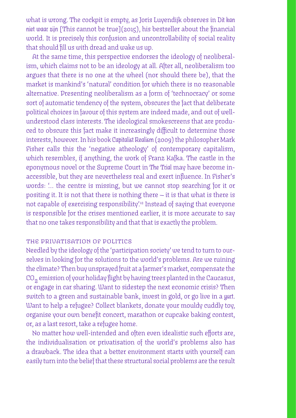what is wrong. The cockpit is empty, as Joris Luyendijk observes in *Dit kan niet waar zijn* [This cannot be true](2015), his bestseller about the financial world. It is precisely this confusion and uncontrollability of social reality that should fill us with dread and wake us up.

At the same time, this perspective endorses the ideology of neoliberalism, which claims not to be an ideology at all. After all, neoliberalism too argues that there is no one at the wheel (nor should there be), that the market is mankind's 'natural' condition for which there is no reasonable alternative. Presenting neoliberalism as a form of 'technocracy' or some sort of automatic tendency of the system, obscures the fact that deliberate political choices in favour of this system are indeed made, and out of wellunderstood class interests. The ideological smokescreens that are produced to obscure this fact make it increasingly difficult to determine those interests, however. In his book *Capitalist Realism* (2009) the philosopher Mark Fisher calls this the 'negative atheology' of contemporary capitalism, which resembles, if anything, the work of Franz Kafka. The castle in the eponymous novel or the Supreme Court in *The Trial* may have become inaccessible, but they are nevertheless real and exert influence. In Fisher's words: '… the centre is missing, but we cannot stop searching for it or positing it. It is not that there is nothing there — it is that what is there is not capable of exercising responsibility'.12 Instead of saying that everyone is responsible for the crises mentioned earlier, it is more accurate to say that no one takes responsibility and that that is exactly the problem.

# the privatisation of politics

Needled by the ideology of the 'participation society' we tend to turn to ourselves in looking for the solutions to the world's problems. Are we ruining the climate? Then buy unsprayed fruit at a farmer's market, compensate the  $CO<sub>2</sub>$  emission of your holiday flight by having trees planted in the Caucasus, or engage in car sharing. Want to sidestep the next economic crisis? Then switch to a green and sustainable bank, invest in gold, or go live in a *yurt.* Want to help a refugee? Collect blankets, donate your mouldy cuddly toy, organise your own benefit concert, marathon or cupcake baking contest, or, as a last resort, take a refugee home.

No matter how well-intended and often even idealistic such efforts are, the individualisation or privatisation of the world's problems also has a drawback. The idea that a better environment starts with yourself can easily turn into the belief that these structural social problems are the result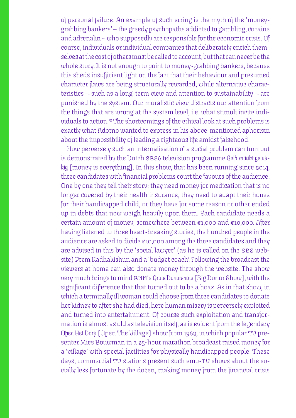of personal failure. An example of such erring is the myth of the 'moneygrabbing bankers' — the greedy psychopaths addicted to gambling, cocaine and adrenalin — who supposedly are responsible for the economic crisis. Of course, individuals or individual companies that deliberately enrich themselves at the cost of others must be called to account, but that can never be the whole story. It is not enough to point to money-grabbing bankers, because this sheds insufficient light on the fact that their behaviour and presumed character flaws are being structurally rewarded, while alternative characteristics — such as a long-term view and attention to sustainability — are punished by the system. Our moralistic view distracts our attention from the things that are wrong at the system level, i.e. what stimuli incite individuals to action.13 The shortcomings of the ethical look at such problems is exactly what Adorno wanted to express in his above-mentioned aphorism about the impossibility of leading a righteous life amidst falsehood.

How perversely such an internalisation of a social problem can turn out is demonstrated by the Dutch sbs6 television programme *Geld maakt gelukkig* [money is everything]. In this show, that has been running since 2014, three candidates with financial problems court the favours of the audience. One by one they tell their story: they need money for medication that is no longer covered by their health insurance, they need to adapt their house for their handicapped child, or they have for some reason or other ended up in debts that now weigh heavily upon them. Each candidate needs a certain amount of money, somewhere between €1,000 and €10,000. After having listened to three heart-breaking stories, the hundred people in the audience are asked to divide €10,000 among the three candidates and they are advised in this by the 'social lawyer' (as he is called on the SBS website) Prem Radhakishun and a 'budget coach'. Following the broadcast the viewers at home can also donate money through the website. The show very much brings to mind BNN's Grote Donorshow [Big Donor Show], with the significant difference that that turned out to be a hoax. As in that show, in which a terminally ill woman could choose from three candidates to donate her kidney to after she had died, here human misery is perversely exploited and turned into entertainment. Of course such exploitation and transformation is almost as old as television itself, as is evident from the legendary Open Het Dorp [Open The Village] show from 1962, in which popular TV presenter Mies Bouwman in a 23-hour marathon broadcast raised money for a 'village' with special facilities for physically handicapped people. These days, commercial TV stations present such emo-TV shows about the socially less fortunate by the dozen, making money from the financial crisis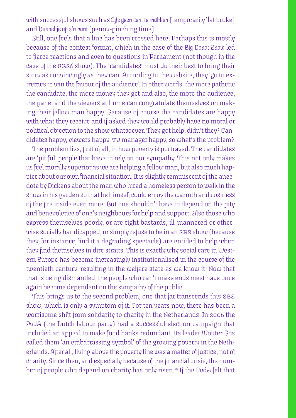with successful shows such as *Effe geen cent te makken* [temporarily flat broke] and *Dubbeltje op z'n kant* [penny-pinching time].

Still, one feels that a line has been crossed here. Perhaps this is mostly because of the contest format, which in the case of the *Big Donor Show* led to fierce reactions and even to questions in Parliament (not though in the case of the sbs6 show). The 'candidates' must do their best to bring their story as convincingly as they can. According to the website, they 'go to extremes to win the favour of the audience'. In other words: the more pathetic the candidate, the more money they get and also, the more the audience, the panel and the viewers at home can congratulate themselves on making their fellow man happy. Because of course the candidates are happy with what they receive and if asked they would probably have no moral or political objection to the show whatsoever. They got help, didn't they? Candidates happy, viewers happy, tv manager happy, so what's the problem?

The problem lies, first of all, in how poverty is portrayed. The candidates are 'pitiful' people that have to rely on our sympathy. This not only makes us feel morally superior as we are helping a fellow man, but also much happier about our own financial situation. It is slightly reminiscent of the anecdote by Dickens about the man who hired a homeless person to walk in the snow in his garden so that he himself could enjoy the warmth and cosiness of the fire inside even more. But one shouldn't have to depend on the pity and benevolence of one's neighbours for help and support. Also those who express themselves poorly, or are right bastards, ill-mannered or otherwise socially handicapped, or simply refuse to be in an SBS show (because they, for instance, find it a degrading spectacle) are entitled to help when they find themselves in dire straits. This is exactly why social care in Western Europe has become increasingly institutionalised in the course of the twentieth century, resulting in the welfare state as we know it. Now that that is being dismantled, the people who can't make ends meet have once again become dependent on the sympathy of the public.

This brings us to the second problem, one that far transcends this SBS show, which is only a symptom of it. For ten years now, there has been a worrisome shift from solidarity to charity in the Netherlands. In 2006 the PvdA (the Dutch labour party) had a successful election campaign that included an appeal to make food banks redundant. Its leader Wouter Bos called them 'an embarrassing symbol' of the growing poverty in the Netherlands. After all, living above the poverty line was a matter of justice, not of charity. Since then, and especially because of the financial crisis, the number of people who depend on charity has only risen.<sup>14</sup> If the PvdA felt that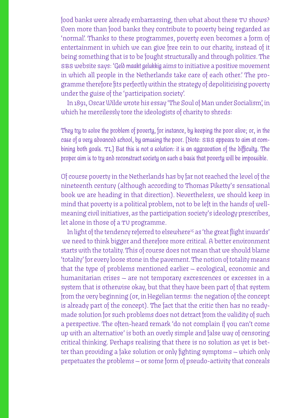food banks were already embarrassing, then what about these TV shows? Even more than food banks they contribute to poverty being regarded as 'normal'. Thanks to these programmes, poverty even becomes a form of entertainment in which we can give free rein to our charity, instead of it being something that is to be fought structurally and through politics. The sbs website says: '*Geld maakt gelukkig* aims to initiative a positive movement in which all people in the Netherlands take care of each other.' The programme therefore fits perfectly within the strategy of depoliticising poverty under the guise of the 'participation society'.

In 1891, Oscar Wilde wrote his essay 'The Soul of Man under Socialism', in which he mercilessly tore the ideologists of charity to shreds:

*They try to solve the problem of poverty, for instance, by keeping the poor alive; or, in the*  case of a very advanced school, by amusing the poor. [Note: SBS appears to aim at com*bining both goals.* tl*] But this is not a solution: it is an aggravation of the difficulty. The proper aim is to try and reconstruct society on such a basis that poverty will be impossible.*

Of course poverty in the Netherlands has by far not reached the level of the nineteenth century (although according to Thomas Piketty's sensational book we are heading in that direction). Nevertheless, we should keep in mind that poverty is a political problem, not to be left in the hands of wellmeaning civil initiatives, as the participation society's ideology prescribes, let alone in those of a TV programme.

In light of the tendency referred to elsewhere<sup>15</sup> as 'the great flight inwards' we need to think bigger and therefore more critical. A better environment starts with the totality. This of course does not mean that we should blame 'totality' for every loose stone in the pavement. The notion of totality means that the type of problems mentioned earlier — ecological, economic and humanitarian crises — are not temporary excrescences or excesses in a system that is otherwise okay, but that they have been part of that system from the very beginning (or, in Hegelian terms: the negation of the concept is already part of the concept). The fact that the critic then has no readymade solution for such problems does not detract from the validity of such a perspective. The often-heard remark 'do not complain if you can't come up with an alternative' is both an overly simple and false way of censoring critical thinking. Perhaps realising that there is no solution as yet is better than providing a fake solution or only fighting symptoms — which only perpetuates the problems — or some form of pseudo-activity that conceals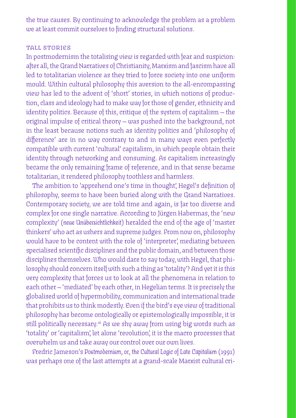the true causes. By continuing to acknowledge the problem as a problem we at least commit ourselves to finding structural solutions.

## tall stories

In postmodernism the totalising view is regarded with fear and suspicion: after all, the Grand Narratives of Christianity, Marxism and fascism have all led to totalitarian violence as they tried to force society into one uniform mould. Within cultural philosophy this aversion to the all-encompassing view has led to the advent of 'short' stories, in which notions of production, class and ideology had to make way for those of gender, ethnicity and identity politics. Because of this, critique of the system of capitalism — the original impulse of critical theory — was pushed into the background, not in the least because notions such as identity politics and 'philosophy of difference' are in no way contrary to and in many ways even perfectly compatible with current 'cultural' capitalism, in which people obtain their identity through networking and consuming. As capitalism increasingly became the only remaining frame of reference, and in that sense became totalitarian, it rendered philosophy toothless and harmless.

The ambition to 'apprehend one's time in thought', Hegel's definition of philosophy, seems to have been buried along with the Grand Narratives. Contemporary society, we are told time and again, is far too diverse and complex for one single narrative. According to Jürgen Habermas, the 'new complexity' *(neue Unübersichtlichkeit)* heralded the end of the age of 'master thinkers' who act as ushers and supreme judges. From now on, philosophy would have to be content with the role of 'interpreter', mediating between specialised scientific disciplines and the public domain, and between those disciplines themselves. Who would dare to say today, with Hegel, that philosophy should concern itself with such a thing as 'totality'? And yet it is this very complexity that forces us to look at all the phenomena in relation to each other — 'mediated' by each other, in Hegelian terms. It is precisely the globalised world of hypermobility, communication and international trade that prohibits us to think modestly. Even if the bird's eye view of traditional philosophy has become ontologically or epistemologically impossible, it is still politically necessary.<sup>16</sup> As we shy away from using big words such as 'totality' or 'capitalism', let alone 'revolution', it is the macro processes that overwhelm us and take away our control over our own lives.

Fredric Jameson's *Postmodernism, or, the Cultural Logic of Late Capitalism* (1991) was perhaps one of the last attempts at a grand-scale Marxist cultural cri-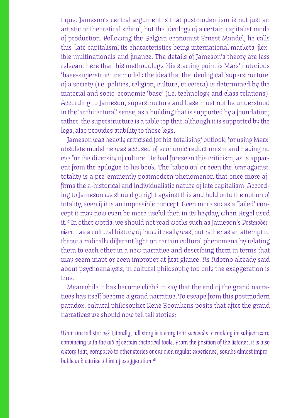tique. Jameson's central argument is that postmodernism is not just an artistic or theoretical school, but the ideology of a certain capitalist mode of production. Following the Belgian economist Ernest Mandel, he calls this 'late capitalism', its characteristics being international markets, flexible multinationals and finance. The details of Jameson's theory are less relevant here than his methodology. His starting point is Marx' notorious 'base-superstructure model': the idea that the ideological 'superstructure' of a society (i.e. politics, religion, culture, et cetera) is determined by the material and socio-economic 'base' (i.e. technology and class relations). According to Jameson, superstructure and base must not be understood in the 'architectural' sense, as a building that is supported by a foundation; rather, the superstructure is a table top that, although it is supported by the legs, also provides stability to those legs.

Jameson was heavily criticised for his 'totalising' outlook; for using Marx' obsolete model he was accused of economic reductionism and having no eye for the diversity of culture. He had foreseen this criticism, as is apparent from the epilogue to his book. The 'taboo on' or even the 'war against' totality is a pre-eminently postmodern phenomenon that once more affirms the a-historical and individualistic nature of late capitalism. According to Jameson we should go right against this and hold onto the notion of totality, even if it is an impossible concept. Even more so: as a 'failed' concept it may now even be more useful then in its heyday, when Hegel used it.17 In other words, we should not read works such as Jameson's *Postmodernism…* as a cultural history of 'how it really was', but rather as an attempt to throw a radically different light on certain cultural phenomena by relating them to each other in a new narrative and describing them in terms that may seem inapt or even improper at first glance. As Adorno already said about psychoanalysis, in cultural philosophy too only the exaggeration is true.

Meanwhile it has become cliché to say that the end of the grand narratives has itself become a grand narrative. To escape from this postmodern paradox, cultural philosopher René Boomkens posits that after the grand narratives we should now tell tall stories:

*What are tall stories? Literally, tall story is a story that succeeds in making its subject extra convincing with the aid of certain rhetorical tools. From the position of the listener, it is also a story that, compared to other stories or our own regular experience, sounds almost improbable and carries a hint of exaggeration.18*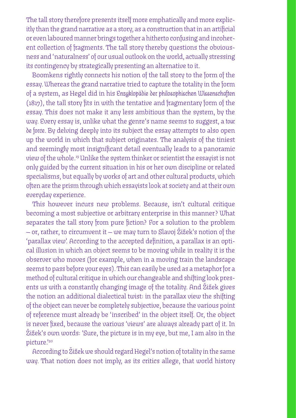The tall story therefore presents itself more emphatically and more explicitly than the grand narrative as a story, as a construction that in an artificial or even laboured manner brings together a hitherto confusing and incoherent collection of fragments. The tall story thereby questions the obviousness and 'naturalness' of our usual outlook on the world, actually stressing its contingency by strategically presenting an alternative to it.

Boomkens rightly connects his notion of the tall story to the form of the essay. Whereas the grand narrative tried to capture the totality in the form of a system, as Hegel did in his *Enzyklopädie der philosophischen Wissenschaften* (1817), the tall story fits in with the tentative and fragmentary form of the essay. This does not make it any less ambitious than the system, by the way. Every essay is, unlike what the genre's name seems to suggest, a *tour de force*. By delving deeply into its subject the essay attempts to also open up the world in which that subject originates. The analysis of the tiniest and seemingly most insignificant detail eventually leads to a panoramic view of the whole.19 Unlike the system thinker or scientist the essayist is not only guided by the current situation in his or her own discipline or related specialisms, but equally by works of art and other cultural products, which often are the prism through which essayists look at society and at their own everyday experience.

This however incurs new problems. Because, isn't cultural critique becoming a most subjective or arbitrary enterprise in this manner? What separates the tall story from pure fiction? For a solution to the problem — or, rather, to circumvent it — we may turn to Slavoj Žižek's notion of the 'parallax view'. According to the accepted definition, a parallax is an optical illusion in which an object seems to be moving while in reality it is the observer who moves (for example, when in a moving train the landscape seems to pass before your eyes). This can easily be used as a metaphor for a method of cultural critique in which our changeable and shifting look presents us with a constantly changing image of the totality. And Žižek gives the notion an additional dialectical twist: in the parallax view the shifting of the object can never be completely subjective, because the various point of reference must already be 'inscribed' in the object itself. Or, the object is never fixed, because the various 'views' are always already part of it. In Žižek's own words: 'Sure, the picture is in my eye, but me, I am also in the picture.'20

According to Žižek we should regard Hegel's notion of totality in the same way. That notion does not imply, as its critics allege, that world history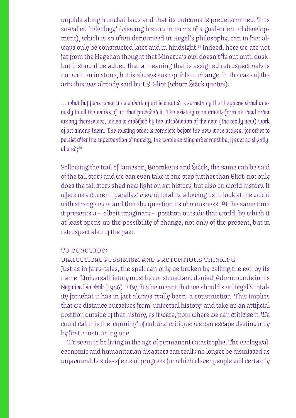unfolds along ironclad laws and that its outcome is predetermined. This so-called 'teleology' (viewing history in terms of a goal-oriented development), which is so often denounced in Hegel's philosophy, can in fact always only be constructed later and in hindsight.<sup>21</sup> Indeed, here we are not far from the Hegelian thought that Minerva's owl doesn't fly out until dusk, but it should be added that a meaning that is assigned retrospectively is not written in stone, but is always susceptible to change. In the case of the arts this was already said by T.S. Eliot (whom Žižek quotes):

*… what happens when a new work of art is created is something that happens simultaneously to all the works of art that preceded it. The existing monuments form an ideal order among themselves, which is modified by the introduction of the new (the really new) work of art among them. The existing order is complete before the new work arrives; for order to persist after the supervention of novelty, the whole existing order must be, if ever so slightly, altered;22*

Following the trail of Jameson, Boomkens and Žižek, the same can be said of the tall story and we can even take it one step further than Eliot: not only does the tall story shed new light on art history, but also on world history. It offers us a current 'parallax' view of totality, allowing us to look at the world with strange eyes and thereby question its obviousness. At the same time it presents a — albeit imaginary — position outside that world, by which it at least opens up the possibility of change, not only of the present, but in retrospect also of the past.

### to conclude:

# dialectical pessimism and pretentious thinking

Just as in fairy-tales, the spell can only be broken by calling the evil by its name. 'Universal history must be construed and denied', Adorno wrote in his *Negative Dialektik* (1966).23 By this he meant that we should see Hegel's totality for what it has in fact always really been: a construction. This implies that we distance ourselves from 'universal history' and take up an artificial position outside of that history, as it were, from where we can criticise it. We could call this the 'cunning' of cultural critique: we can escape destiny only by first constructing one.

We seem to be living in the age of permanent catastrophe. The ecological, economic and humanitarian disasters can really no longer be dismissed as unfavourable side-effects of progress for which clever people will certainly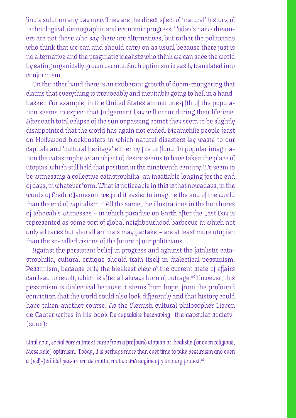find a solution any day now. They are the direct effect of 'natural' history, of technological, demographic and economic progress. Today's naive dreamers are not those who say there are alternatives, but rather the politicians who think that we can and should carry on as usual because there just is no alternative and the pragmatic idealists who think we can save the world by eating organically grown carrots. Such optimism is easily translated into conformism.

On the other hand there is an exuberant growth of doom-mongering that claims that everything is irrevocably and inevitably going to hell in a handbasket. For example, in the United States almost one-fifth of the population seems to expect that Judgement Day will occur during their lifetime. After each total eclipse of the sun or passing comet they seem to be slightly disappointed that the world has again not ended. Meanwhile people feast on Hollywood blockbusters in which natural disasters lay waste to our capitals and 'cultural heritage' either by fire or flood. In popular imagination the catastrophe as an object of desire seems to have taken the place of utopias, which still held that position in the nineteenth century. We seem to be witnessing a collective catastrophilia: an insatiable longing for the end of days, in whatever form. What is noticeable in this is that nowadays, in the words of Fredric Jameson, we find it easier to imagine the end of the world than the end of capitalism.<sup>24</sup> All the same, the illustrations in the brochures of Jehovah's Witnesses – in which paradise on Earth after the Last Day is represented as some sort of global neighbourhood barbecue in which not only all races but also all animals may partake – are at least more utopian than the so-called visions of the future of our politicians.

Against the persistent belief in progress and against the fatalistic catastrophilia, cultural critique should train itself in dialectical pessimism. Pessimism, because only the bleakest view of the current state of affairs can lead to revolt, which is after all always born of outrage.<sup>25</sup> However, this pessimism is dialectical because it stems from hope, from the profound conviction that the world could also look differently and that history could have taken another course. As the Flemish cultural philosopher Lieven de Cauter writes in his book *De capsulaire beschaving* [the capsular society] (2004):

*Until now, social commitment came from a profound utopian or idealistic (or even religious, Messianic) optimism. Today, it is perhaps more than ever time to take pessimism and even a (self-)critical pessimism as motto, motive and engine of planetary protest.26*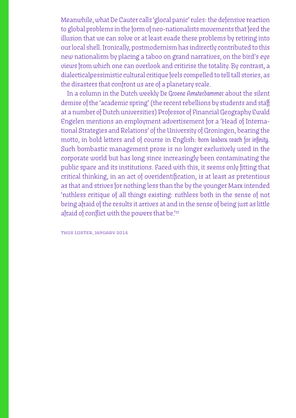Meanwhile, what De Cauter calls 'glocal panic' rules: the defensive reaction to global problems in the form of neo-nationalists movements that feed the illusion that we can solve or at least evade these problems by retiring into our local shell. Ironically, postmodernism has indirectly contributed to this new nationalism by placing a taboo on grand narratives, on the bird's eye views from which one can overlook and criticise the totality. By contrast, a dialecticalpessimistic cultural critique feels compelled to tell tall stories, as the disasters that confront us are of a planetary scale.

In a column in the Dutch weekly *De Groene Amsterdammer* about the silent demise of the 'academic spring' (the recent rebellions by students and staff at a number of Dutch universities) Professor of Financial Geography Ewald Engelen mentions an employment advertisement for a 'Head of International Strategies and Relations' of the University of Groningen, bearing the motto, in bold letters and of course in English: *born leaders reach for infinity.* Such bombastic management prose is no longer exclusively used in the corporate world but has long since increasingly been contaminating the public space and its institutions. Faced with this, it seems only fitting that critical thinking, in an act of overidentification, is at least as pretentious as that and strives for nothing less than the by the younger Marx intended 'ruthless critique of all things existing: ruthless both in the sense of not being afraid of the results it arrives at and in the sense of being just as little afraid of conflict with the powers that be.<sup>'27</sup>

thijs lijster, january 2016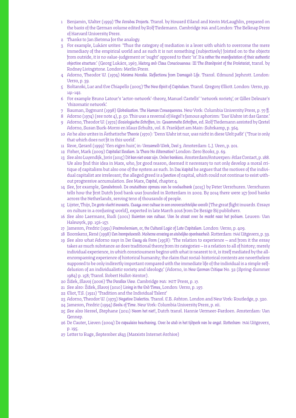- 1 Benjamin, Walter (1999) *The Arcades Projects*. Transl. by Howard Eiland and Kevin McLaughlin, prepared on the basis of the German volume edited by Rolf Tiedemann. Cambridge ma and London: The Belknap Press of Harvard University Press.
- 2 Thanks to Jan Sietsma for the analogy.
- 3 For example, Lukács writes: 'Thus the category of mediation is a lever with which to overcome the mere immediacy of the empirical world and as such it is not something (subjectively) foisted on to the objects from outside, it is no value-judgement or 'ought' opposed to their 'is'. *It is rather the manifestation of their authentic objective structure*.' (Georg Lukács, 1967, *History and Class Consciousness: III The Standpoint of the Proletariat,* transl. by Rodney Livingstone. London: Merlin Press.
- 4 Adorno, Theodor W. (1974) *Minima Moralia. Reflections from Damaged Life.* Transl. Edmund Jephcott. London: Verso, p. 39.
- 5 Boltanski, Luc and Eve Chiapello (2005) *The New Spirit of Capitalism*. Transl. Gregory Elliott. London: Verso, pp. 141-142.
- 6 For example Bruno Latour's 'actor-network'-theory, Manuel Castells' 'network society', or Gilles Deleuze's 'rhizomatic network'.
- 7 Bauman, Zygmunt (1998) *Globalization. The Human Consequences.* New York: Columbia University Press, p. 77 ff.
- 8 Adorno (1974) (see note 4), p. 50. This was a reversal of Hegel's famous aphorism: 'Das Wahre ist das Ganze.'
- 9 Adorno, Theodor W. (1972) *Soziologische Schriften,* in: *Gesammelte Schriften,* ed. Rolf Tiedemann assisted by Gretel Adorno, Susan Buck-Morss en Klaus Schultz, vol. 8. Frankfurt am Main: Suhrkamp, p. 364.
- 10 As he also writes in Ästhetische *Theorie*(1970): 'Denn Wahr ist nur, was nicht in diese Welt paßt' ('True is only that which does not fit in this world'.
- 11 Reve, Gerard (1999) 'Een eigen huis', in*: Verzameld Werk, Deel 3*. Amsterdam: L.J. Veen, p. 201.
- 12 Fisher, Mark (2009) *Capitalist Realism. Is There No Alternative?* London: Zero Books, p. 69.
- 13 See also Luyendijk, Joris (2015) *Dit kan niet waar zijn. Onder bankiers.* Amsterdam/Antwerpen: Atlas Contact, p. 188. We also find this idea in Marx, who, for good reason, deemed it necessary to not only develop a moral critique of capitalism but also one of the system as such. In *Das Kapital* he argues that the motives of the individual capitalist are irrelevant; the alleged greed is a *function* of capital, which could not continue to exist without progressive accumulation. See Marx, *Capital,* chapter 4.
- 14 See, for example, *Genadebrood. De onstuitbare opmars van de voedselbank* (2015) by Peter Verschuren. Verschuren tells how the first Dutch food bank was founded in Rotterdam in 2002. By 2014 there were 157 food banks across the Netherlands, serving tens of thousands of people.
- 15 Lijster, Thijs, *De grote vlucht inwaarts. Essays over cultuur in een onoverzichtelijke wereld* [The great flight inwards. Essays on culture in a confusing world], expected in late March 2016 from De Bezige Bij publishers.
- 16 See also Laermans, Rudi (2001) *Ruimten van cultuur. Van de straat over de markt naar het podium*. Leuven: Van Halewyck, pp. 156-157.
- 17 Jameson, Fredric (1991) *Postmodernism, or, the Cultural Logic of Late Capitalism.* London: Verso, p. 409.
- 18 Boomkens, René (1998) *Een drempelwereld. Moderne ervaring en stedelijke openbaarheid*. Rotterdam: nai Uitgevers, p. 39.
- 19 See also what Adorno says in *Der Essay als Form* (1958): 'The relation to experience and from it the essay takes as much substance as does traditional theory from its categories — is a relation to all of history; merely individual experience, in which consciousness begins with what is nearest to it, is itself mediated by the allencompassing experience of historical humanity; the claim that social-historical contents are nevertheless supposed to be only indirectly important compared with the immediate life of the individual is a simple selfdelusion of an individualistic society and ideology.' (Adorno, in *New German Critique* No. 32 (Spring-Summer 1984) p. 158; Transl. Robert Hullot-Kentor).
- 20 Žižek, Slavoj (2006) *The Parallax View*. Cambridge ma: mit Press, p. 17.
- 21 See also: Žižek, Slavoj (2010) *Living in the End Times*, London: Verso, p. 197.
- 22 Eliot, T.S. (1921) 'Tradition and the Individual Talent'
- 23 Adorno, Theodor W. (1973) *Negative Dialectics*. Transl. E.B. Ashton. London and New York: Routledge, p. 320.
- 24 Jameson, Fredric (1994) *Seeds of Time*. New York: Columbia University Press, p. xii.
- 25 See also Hessel, Stephane (2011) *Neem het niet!,* Dutch transl. Hannie Vermeer-Pardoen. Amsterdam: Van Gennep.
- 26 De Cauter, Lieven (2004) *De capsulaire beschaving. Over de stad in het tijdperk van de angst. Rotterdam:* nai Uitgevers, p. 195.
- 27 Letter to Ruge, September 1843 (Marxists Internet Archive)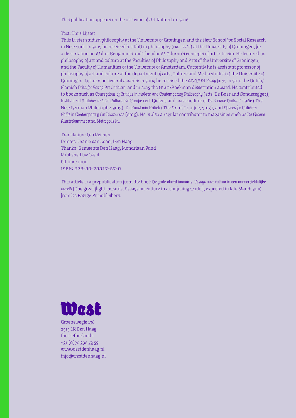This publication appears on the occasion of Art Rotterdam 2016.

#### Text: Thijs Lijster

Thijs Lijster studied philosophy at the University of Groningen and the New School for Social Research in New York. In 2012 he received his PhD in philosophy *(cum laude)* at the University of Groningen, for a dissertation on Walter Benjamin's and Theodor W. Adorno's concepts of art criticism. He lectured on philosophy of art and culture at the Faculties of Philosophy and Arts of the University of Groningen, and the Faculty of Humanities of the University of Amsterdam. Currently he is assistant professor of philosophy of art and culture at the department of Arts, Culture and Media studies of the University of Groningen. Lijster won several awards: in 2009 he received the abg/vn *Essay prize*, in 2010 the Dutch/ Flemish *Prize for Young Art Criticism*, and in 2015 the nwo/Boekman dissertation award. He contributed to books such as *Conceptions of Critique in Modern and Contemporary Philosophy* (eds. De Boer and Sonderegger), *Institutional Attitudes and No Culture, No Europe* (ed. Gielen) and was coeditor of *De Nieuwe Duitse Filosofie* (The New German Philosophy, 2013), *De Kunst van Kritiek* (The Art of Critique, 2015), and *Spaces for Criticism. Shifts in Contemporary Art Discourses* (2015). He is also a regular contributor to magazines such as *De Groene Amsterdammer* and *Metropolis M*.

Translation: Leo Reijnen Printer: Oranje van Loon, Den Haag Thanks: Gemeente Den Haag, Mondriaan Fund Published by: West Edition: 1000 isbn: 978-90-79917-57-0

This article is a prepublication from the book *De grote vlucht inwaarts. Essays over cultuur in een onoverzichtelijke wereld* [The great flight inwards. Essays on culture in a confusing world], expected in late March 2016 from De Bezige Bij publishers.



Groenewegje 136 2515 LR Den Haag the Netherlands +31 (0)70 392 53 59 www.westdenhaag.nl info@westdenhaag.nl